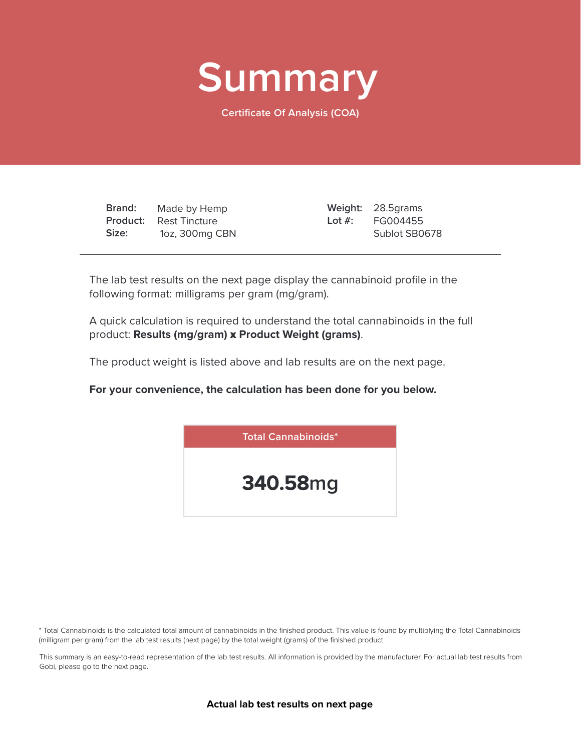

**Certificate Of Analysis (COA)**

**Brand: Product: Size:** Made by Hemp Rest Tincture 1oz, 300mg CBN

28.5grams **Weight:** FG004455 Sublot SB0678 **Lot #:**

The lab test results on the next page display the cannabinoid profile in the following format: milligrams per gram (mg/gram).

A quick calculation is required to understand the total cannabinoids in the full product: **Results (mg/gram)** x **Product Weight (grams)**.

The product weight is listed above and lab results are on the next page.

**For your convenience, the calculation has been done for you below.**



\* Total Cannabinoids is the calculated total amount of cannabinoids in the finished product. This value is found by multiplying the Total Cannabinoids (milligram per gram) from the lab test results (next page) by the total weight (grams) of the finished product.

This summary is an easy-to-read representation of the lab test results. All information is provided by the manufacturer. For actual lab test results from Gobi, please go to the next page.